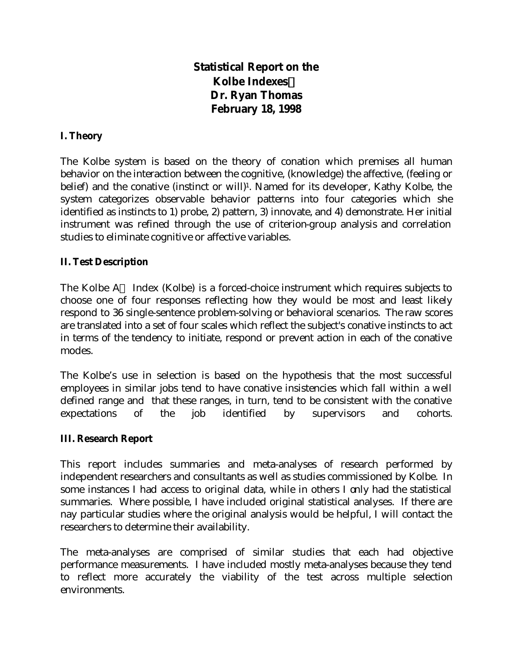# **Statistical Report on the Kolbe IndexesÔ Dr. Ryan Thomas February 18, 1998**

# **I. Theory**

The Kolbe system is based on the theory of conation which premises all human behavior on the interaction between the cognitive, (knowledge) the affective, (feeling or belief) and the conative (instinct or will)<sup>1</sup>. Named for its developer, Kathy Kolbe, the system categorizes observable behavior patterns into four categories which she identified as instincts to 1) probe, 2) pattern, 3) innovate, and 4) demonstrate. Her initial instrument was refined through the use of criterion-group analysis and correlation studies to eliminate cognitive or affective variables.

# **II. Test Description**

The Kolbe  $A^{TM}$  Index (Kolbe) is a forced-choice instrument which requires subjects to choose one of four responses reflecting how they would be most and least likely respond to 36 single-sentence problem-solving or behavioral scenarios. The raw scores are translated into a set of four scales which reflect the subject's conative instincts to act in terms of the tendency to initiate, respond or prevent action in each of the conative modes.

The Kolbe's use in selection is based on the hypothesis that the most successful employees in similar jobs tend to have conative insistencies which fall within a well defined range and that these ranges, in turn, tend to be consistent with the conative expectations of the job identified by supervisors and cohorts.

#### **III. Research Report**

This report includes summaries and meta-analyses of research performed by independent researchers and consultants as well as studies commissioned by Kolbe. In some instances I had access to original data, while in others I only had the statistical summaries. Where possible, I have included original statistical analyses. If there are nay particular studies where the original analysis would be helpful, I will contact the researchers to determine their availability.

The meta-analyses are comprised of similar studies that each had objective performance measurements. I have included mostly meta-analyses because they tend to reflect more accurately the viability of the test across multiple selection environments.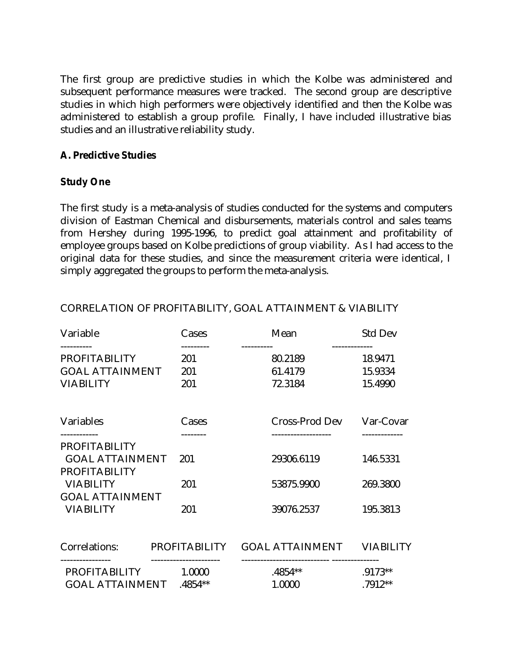The first group are predictive studies in which the Kolbe was administered and subsequent performance measures were tracked. The second group are descriptive studies in which high performers were objectively identified and then the Kolbe was administered to establish a group profile. Finally, I have included illustrative bias studies and an illustrative reliability study.

### **A. Predictive Studies**

#### **Study One**

The first study is a meta-analysis of studies conducted for the systems and computers division of Eastman Chemical and disbursements, materials control and sales teams from Hershey during 1995-1996, to predict goal attainment and profitability of employee groups based on Kolbe predictions of group viability. As I had access to the original data for these studies, and since the measurement criteria were identical, I simply aggregated the groups to perform the meta-analysis.

| Variable                               | Cases         | Mean                  | <b>Std Dev</b>           |
|----------------------------------------|---------------|-----------------------|--------------------------|
| <b>PROFITABILITY</b>                   | 201           | ----------<br>80.2189 | -------------<br>18.9471 |
| <b>GOAL ATTAINMENT</b>                 | 201           | 61.4179               | 15.9334                  |
| <b>VIABILITY</b>                       | 201           | 72.3184               | 15.4990                  |
| Variables                              | Cases         | Cross-Prod Dev        | Var-Covar                |
| <b>PROFITABILITY</b>                   |               |                       |                          |
| <b>GOAL ATTAINMENT</b>                 | 201           | 29306.6119            | 146.5331                 |
| <b>PROFITABILITY</b>                   |               |                       |                          |
| <b>VIABILITY</b>                       | 201           | 53875.9900            | 269.3800                 |
| <b>GOAL ATTAINMENT</b>                 |               |                       |                          |
| <b>VIABILITY</b>                       | 201           | 39076.2537            | 195.3813                 |
| Correlations:                          | PROFITABILITY | GOAL ATTAINMENT       | <b>VIABILITY</b>         |
| --------------<br>PROFITABILITY 1.0000 |               | $.4854**$             | .9173**                  |
| GOAL ATTAINMENT .4854**                |               | 1.0000                | .7912**                  |

# CORRELATION OF PROFITABILITY, GOAL ATTAINMENT & VIABILITY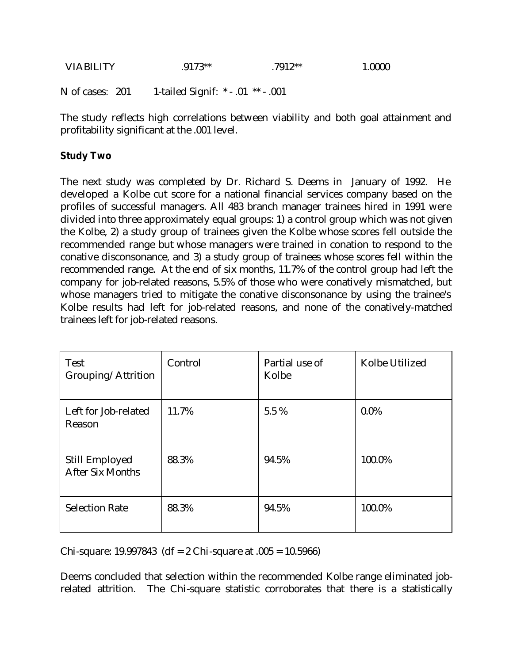| VIABILITY | $.9173**$ | 7912** | 1.0000 |
|-----------|-----------|--------|--------|
|           |           |        |        |

N of cases: 201 1-tailed Signif: \* - .01 \*\* - .001

The study reflects high correlations between viability and both goal attainment and profitability significant at the .001 level.

# **Study Two**

The next study was completed by Dr. Richard S. Deems in January of 1992. He developed a Kolbe cut score for a national financial services company based on the profiles of successful managers. All 483 branch manager trainees hired in 1991 were divided into three approximately equal groups: 1) a control group which was not given the Kolbe, 2) a study group of trainees given the Kolbe whose scores fell outside the recommended range but whose managers were trained in conation to respond to the conative disconsonance, and 3) a study group of trainees whose scores fell within the recommended range. At the end of six months, 11.7% of the control group had left the company for job-related reasons, 5.5% of those who were conatively mismatched, but whose managers tried to mitigate the conative disconsonance by using the trainee's Kolbe results had left for job-related reasons, and none of the conatively-matched trainees left for job-related reasons.

| <b>Test</b><br>Grouping/Attrition         | Control | Partial use of<br>Kolbe | Kolbe Utilized |
|-------------------------------------------|---------|-------------------------|----------------|
| Left for Job-related<br>Reason            | 11.7%   | 5.5 %                   | $0.0\%$        |
| Still Employed<br><b>After Six Months</b> | 88.3%   | 94.5%                   | 100.0%         |
| <b>Selection Rate</b>                     | 88.3%   | 94.5%                   | 100.0%         |

Chi-square: 19.997843 (df = 2 Chi-square at  $.005 = 10.5966$ )

Deems concluded that selection within the recommended Kolbe range eliminated jobrelated attrition. The Chi-square statistic corroborates that there is a statistically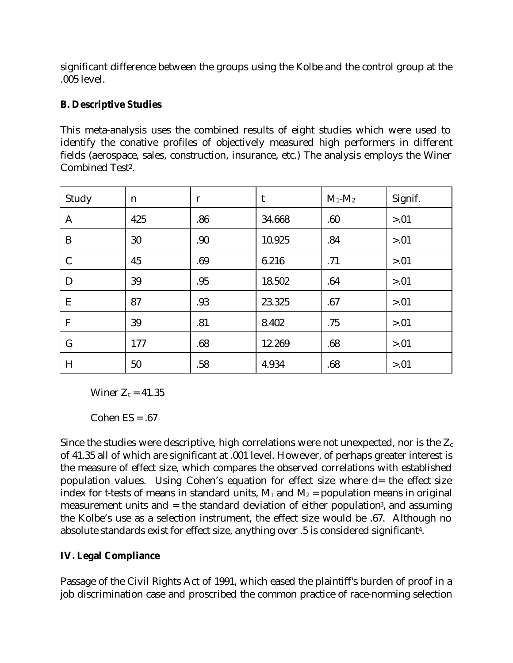significant difference between the groups using the Kolbe and the control group at the .005 level.

# **B. Descriptive Studies**

This meta-analysis uses the combined results of eight studies which were used to identify the conative profiles of objectively measured high performers in different fields (aerospace, sales, construction, insurance, etc.) The analysis employs the Winer Combined Test<sup>2</sup>.

| Study         | n   | $\mathbf{r}$ | t      | $M_1$ - $M_2$ | Signif. |
|---------------|-----|--------------|--------|---------------|---------|
| $\mathbf{A}$  | 425 | .86          | 34.668 | .60           | > 0.01  |
| B             | 30  | .90          | 10.925 | .84           | > 0.01  |
| $\mathcal{C}$ | 45  | .69          | 6.216  | .71           | > 0.01  |
| D             | 39  | .95          | 18.502 | .64           | > 0.01  |
| E             | 87  | .93          | 23.325 | .67           | > 0.01  |
| $\mathbf{F}$  | 39  | .81          | 8.402  | .75           | > 0.01  |
| $\mathsf{G}$  | 177 | .68          | 12.269 | .68           | > 0.01  |
| H             | 50  | .58          | 4.934  | .68           | > 0.01  |

Winer  $Z_c = 41.35$ 

Cohen  $ES = .67$ 

Since the studies were descriptive, high correlations were not unexpected, nor is the  $Z_c$ of 41.35 all of which are significant at .001 level. However, of perhaps greater interest is the measure of effect size, which compares the observed correlations with established population values. Using Cohen's equation for effect size where d= the effect size index for t-tests of means in standard units,  $M_1$  and  $M_2$  = population means in original measurement units and = the standard deviation of either population<sup>3</sup>, and assuming the Kolbe's use as a selection instrument, the effect size would be .67. Although no absolute standards exist for effect size, anything over .5 is considered significant<sup>4</sup> .

# **IV. Legal Compliance**

Passage of the Civil Rights Act of 1991, which eased the plaintiff's burden of proof in a job discrimination case and proscribed the common practice of race-norming selection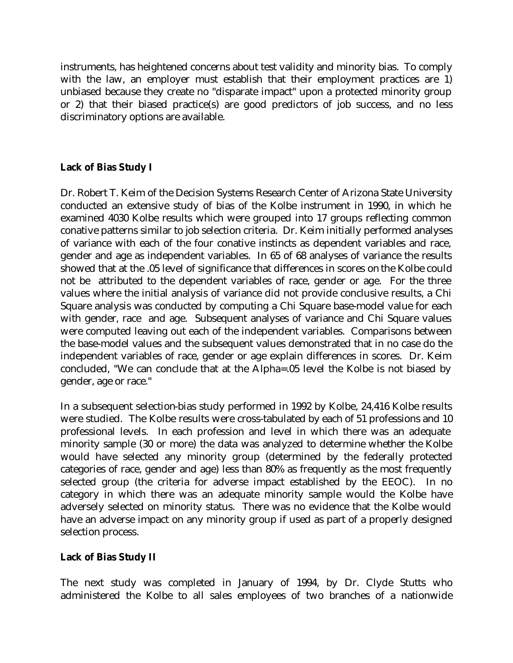instruments, has heightened concerns about test validity and minority bias. To comply with the law, an employer must establish that their employment practices are 1) unbiased because they create no "disparate impact" upon a protected minority group or 2) that their biased practice(s) are good predictors of job success, and no less discriminatory options are available.

# **Lack of Bias Study I**

Dr. Robert T. Keim of the Decision Systems Research Center of Arizona State University conducted an extensive study of bias of the Kolbe instrument in 1990, in which he examined 4030 Kolbe results which were grouped into 17 groups reflecting common conative patterns similar to job selection criteria. Dr. Keim initially performed analyses of variance with each of the four conative instincts as dependent variables and race, gender and age as independent variables. In 65 of 68 analyses of variance the results showed that at the .05 level of significance that differences in scores on the Kolbe could not be attributed to the dependent variables of race, gender or age. For the three values where the initial analysis of variance did not provide conclusive results, a Chi Square analysis was conducted by computing a Chi Square base-model value for each with gender, race and age. Subsequent analyses of variance and Chi Square values were computed leaving out each of the independent variables. Comparisons between the base-model values and the subsequent values demonstrated that in no case do the independent variables of race, gender or age explain differences in scores. Dr. Keim concluded, "We can conclude that at the Alpha=.05 level the Kolbe is not biased by gender, age or race."

In a subsequent selection-bias study performed in 1992 by Kolbe, 24,416 Kolbe results were studied. The Kolbe results were cross-tabulated by each of 51 professions and 10 professional levels. In each profession and level in which there was an adequate minority sample (30 or more) the data was analyzed to determine whether the Kolbe would have selected any minority group (determined by the federally protected categories of race, gender and age) less than 80% as frequently as the most frequently selected group (the criteria for adverse impact established by the EEOC). In no category in which there was an adequate minority sample would the Kolbe have adversely selected on minority status. There was no evidence that the Kolbe would have an adverse impact on any minority group if used as part of a properly designed selection process.

# **Lack of Bias Study II**

The next study was completed in January of 1994, by Dr. Clyde Stutts who administered the Kolbe to all sales employees of two branches of a nationwide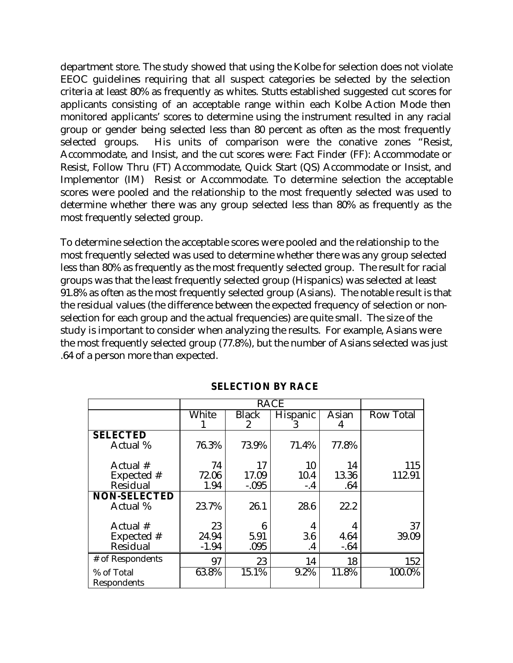department store. The study showed that using the Kolbe for selection does not violate EEOC guidelines requiring that all suspect categories be selected by the selection criteria at least 80% as frequently as whites. Stutts established suggested cut scores for applicants consisting of an acceptable range within each Kolbe Action Mode then monitored applicants' scores to determine using the instrument resulted in any racial group or gender being selected less than 80 percent as often as the most frequently selected groups. His units of comparison were the conative zones "Resist, Accommodate, and Insist, and the cut scores were: Fact Finder (FF): Accommodate or Resist, Follow Thru (FT) Accommodate, Quick Start (QS) Accommodate or Insist, and Implementor (IM) Resist or Accommodate. To determine selection the acceptable scores were pooled and the relationship to the most frequently selected was used to determine whether there was any group selected less than 80% as frequently as the most frequently selected group.

To determine selection the acceptable scores were pooled and the relationship to the most frequently selected was used to determine whether there was any group selected less than 80% as frequently as the most frequently selected group. The result for racial groups was that the least frequently selected group (Hispanics) was selected at least 91.8% as often as the most frequently selected group (Asians). The notable result is that the residual values (the difference between the expected frequency of selection or nonselection for each group and the actual frequencies) are quite small. The size of the study is important to consider when analyzing the results. For example, Asians were the most frequently selected group (77.8%), but the number of Asians selected was just .64 of a person more than expected.

|                     |         |              | <b>RACE</b> |        |                  |
|---------------------|---------|--------------|-------------|--------|------------------|
|                     | White   | <b>Black</b> | Hispanic    | Asian  | <b>Row Total</b> |
|                     |         | 2            | 3           | 4      |                  |
| <b>SELECTED</b>     |         |              |             |        |                  |
| Actual %            | 76.3%   | 73.9%        | 71.4%       | 77.8%  |                  |
|                     |         |              |             |        |                  |
| Actual #            | 74      | 17           | 10          | 14     | 115              |
| Expected #          | 72.06   | 17.09        | 10.4        | 13.36  | 112.91           |
| Residual            | 1.94    | $-.095$      | $-.4$       | .64    |                  |
| <b>NON-SELECTED</b> |         |              |             |        |                  |
| Actual %            | 23.7%   | 26.1         | 28.6        | 22.2   |                  |
|                     |         |              |             |        |                  |
| Actual #            | 23      | 6            | 4           |        | 37               |
| Expected #          | 24.94   | 5.91         | 3.6         | 4.64   | 39.09            |
| Residual            | $-1.94$ | .095         | $\cdot$     | $-.64$ |                  |
| # of Respondents    | 97      | 23           | 14          | 18     | 152              |
| % of Total          | 63.8%   | 15.1%        | 9.2%        | 11.8%  | 100.0%           |
| Respondents         |         |              |             |        |                  |

# **SELECTION BY RACE**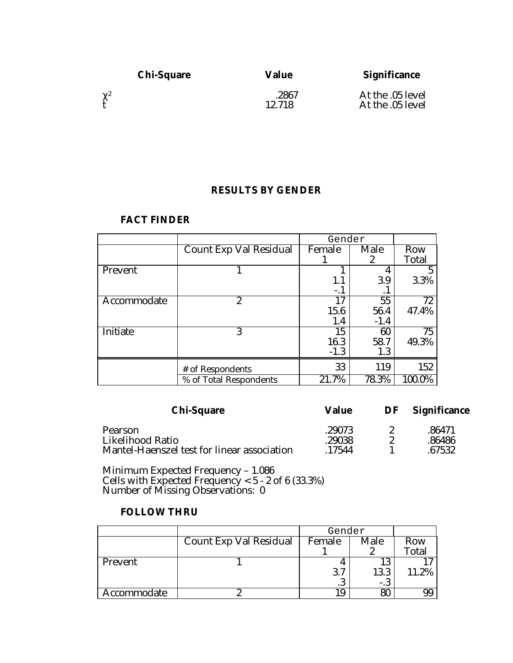| <b>Chi-Square</b> | Value           | <b>Significance</b>                  |
|-------------------|-----------------|--------------------------------------|
| $\chi^2$          | .2867<br>12.718 | At the .05 level<br>At the .05 level |

# **RESULTS BY GENDER**

|             |                        | Gender |        |        |
|-------------|------------------------|--------|--------|--------|
|             | Count Exp Val Residual | Female | Male   | Row    |
|             |                        |        | 2      | Total  |
| Prevent     |                        |        |        |        |
|             |                        | 1.1    | 3.9    | 3.3%   |
|             |                        | -. 1   | . 1    |        |
| Accommodate | $\overline{2}$         | 17     | 55     | 72     |
|             |                        | 15.6   | 56.4   | 47.4%  |
|             |                        | 1.4    | $-1.4$ |        |
| Initiate    | 3                      | 15     | 60     | 75     |
|             |                        | 16.3   | 58.7   | 49.3%  |
|             |                        | $-1.3$ | 1.3    |        |
|             | # of Respondents       | 33     | 119    | 152    |
|             | % of Total Respondents | 21.7%  | 78.3%  | 100.0% |

#### **FACT FINDER**

| <b>Chi-Square</b>                                               | Value            | DF | <b>Significance</b> |  |
|-----------------------------------------------------------------|------------------|----|---------------------|--|
| Pearson                                                         | .29073           |    | .86471              |  |
| Likelihood Ratio<br>Mantel-Haenszel test for linear association | .29038<br>.17544 |    | .86486<br>.67532    |  |

Minimum Expected Frequency – 1.086 Cells with Expected Frequency < 5 - 2 of 6 (33.3%) Number of Missing Observations: 0

### **FOLLOW THRU**

|             |                        | Gender             |       |       |
|-------------|------------------------|--------------------|-------|-------|
|             | Count Exp Val Residual | Female             | Male  | Row   |
|             |                        |                    |       | Total |
| Prevent     |                        |                    | 13    |       |
|             |                        | $\mathbf{r}$<br>3. | 13.3  | 11.2% |
|             |                        | ۰J                 | $-.3$ |       |
| Accommodate |                        | 19                 | 80    |       |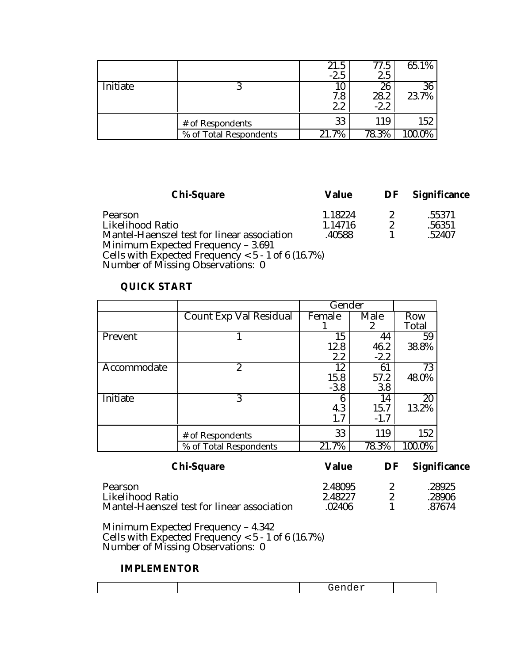|          |                        | 21.5<br>$-2.5$   | 77.5<br>2.5          | 65.1%       |
|----------|------------------------|------------------|----------------------|-------------|
| Initiate |                        | 10<br>7.8<br>2.2 | 26<br>28.2<br>$-2.2$ | 36<br>23.7% |
|          | # of Respondents       | 33               | 119                  | 152         |
|          | % of Total Respondents | 21.7%            | 78.3%                | 100.0%      |

| <b>Chi-Square</b>                                    | Value   | DF Significance |
|------------------------------------------------------|---------|-----------------|
| Pearson                                              | 1.18224 | .55371          |
| Likelihood Ratio                                     | 1.14716 | .56351          |
| Mantel-Haenszel test for linear association          | .40588  | .52407          |
| Minimum Expected Frequency - 3.691                   |         |                 |
| Cells with Expected Frequency < $5 - 1$ of 6 (16.7%) |         |                 |
| Number of Missing Observations: 0                    |         |                 |

# **QUICK START**

|             |                        | Gender |        |        |
|-------------|------------------------|--------|--------|--------|
|             | Count Exp Val Residual | Female | Male   | Row    |
|             |                        |        | 2      | Total  |
| Prevent     |                        | 15     | 44     | 59     |
|             |                        | 12.8   | 46.2   | 38.8%  |
|             |                        | 2.2    | $-2.2$ |        |
| Accommodate | $\boldsymbol{2}$       | 12     | 61     | 73     |
|             |                        | 15.8   | 57.2   | 48.0%  |
|             |                        | $-3.8$ | 3.8    |        |
| Initiate    | 3                      | 6      | 14     | 20     |
|             |                        | 4.3    | 15.7   | 13.2%  |
|             |                        | 1.7    | $-1.7$ |        |
|             | # of Respondents       | 33     | 119    | 152    |
|             | % of Total Respondents | 21.7%  | 78.3%  | 100.0% |

| <b>Chi-Square</b>                           | <b>Value</b> | DF | <b>Significance</b> |  |
|---------------------------------------------|--------------|----|---------------------|--|
| Pearson                                     | 2.48095      |    | .28925              |  |
| Likelihood Ratio                            | 2.48227      |    | .28906              |  |
| Mantel-Haenszel test for linear association | .02406       |    | .87674              |  |

Minimum Expected Frequency – 4.342 Cells with Expected Frequency < 5 - 1 of 6 (16.7%) Number of Missing Observations: 0

#### **IMPLEMENTOR**

| --<br>___ |  |
|-----------|--|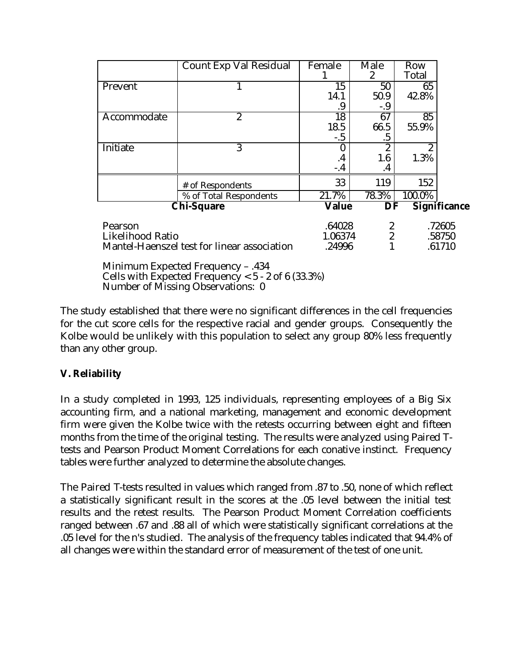|                         | Count Exp Val Residual                                                                    | Female  | Male             | Row            |                     |
|-------------------------|-------------------------------------------------------------------------------------------|---------|------------------|----------------|---------------------|
|                         |                                                                                           |         | $\mathbf{2}$     | Total          |                     |
| Prevent                 | 1                                                                                         | 15      | 50               | 65             |                     |
|                         |                                                                                           | 14.1    | 50.9             | 42.8%          |                     |
|                         |                                                                                           | .9      | $-.9$            |                |                     |
| Accommodate             | $\boldsymbol{2}$                                                                          | 18      | 67               | 85             |                     |
|                         |                                                                                           | 18.5    | 66.5             | 55.9%          |                     |
|                         |                                                                                           | $-.5$   | .5               |                |                     |
| Initiate                | 3                                                                                         |         | 2                | $\overline{2}$ |                     |
|                         |                                                                                           | $\cdot$ | 1.6              | 1.3%           |                     |
|                         |                                                                                           | $-.4$   | $\cdot$          |                |                     |
|                         | # of Respondents                                                                          | 33      | 119              | 152            |                     |
|                         | % of Total Respondents                                                                    | 21.7%   | 78.3%            | 100.0%         |                     |
|                         | <b>Chi-Square</b>                                                                         | Value   | DF               |                | <b>Significance</b> |
| Pearson                 |                                                                                           | .64028  | $\boldsymbol{2}$ |                | .72605              |
| <b>Likelihood Ratio</b> |                                                                                           | 1.06374 | $\overline{2}$   |                | .58750              |
|                         | Mantel-Haenszel test for linear association                                               | .24996  |                  |                | .61710              |
|                         | Minimum Expected Frequency - .434<br>Cells with Expected Frequency < $5 - 2$ of 6 (33.3%) |         |                  |                |                     |

Number of Missing Observations: 0

The study established that there were no significant differences in the cell frequencies for the cut score cells for the respective racial and gender groups. Consequently the Kolbe would be unlikely with this population to select any group 80% less frequently than any other group.

# **V. Reliability**

In a study completed in 1993, 125 individuals, representing employees of a Big Six accounting firm, and a national marketing, management and economic development firm were given the Kolbe twice with the retests occurring between eight and fifteen months from the time of the original testing. The results were analyzed using Paired Ttests and Pearson Product Moment Correlations for each conative instinct. Frequency tables were further analyzed to determine the absolute changes.

The Paired T-tests resulted in values which ranged from .87 to .50, none of which reflect a statistically significant result in the scores at the .05 level between the initial test results and the retest results. The Pearson Product Moment Correlation coefficients ranged between .67 and .88 all of which were statistically significant correlations at the .05 level for the n's studied. The analysis of the frequency tables indicated that 94.4% of all changes were within the standard error of measurement of the test of one unit.